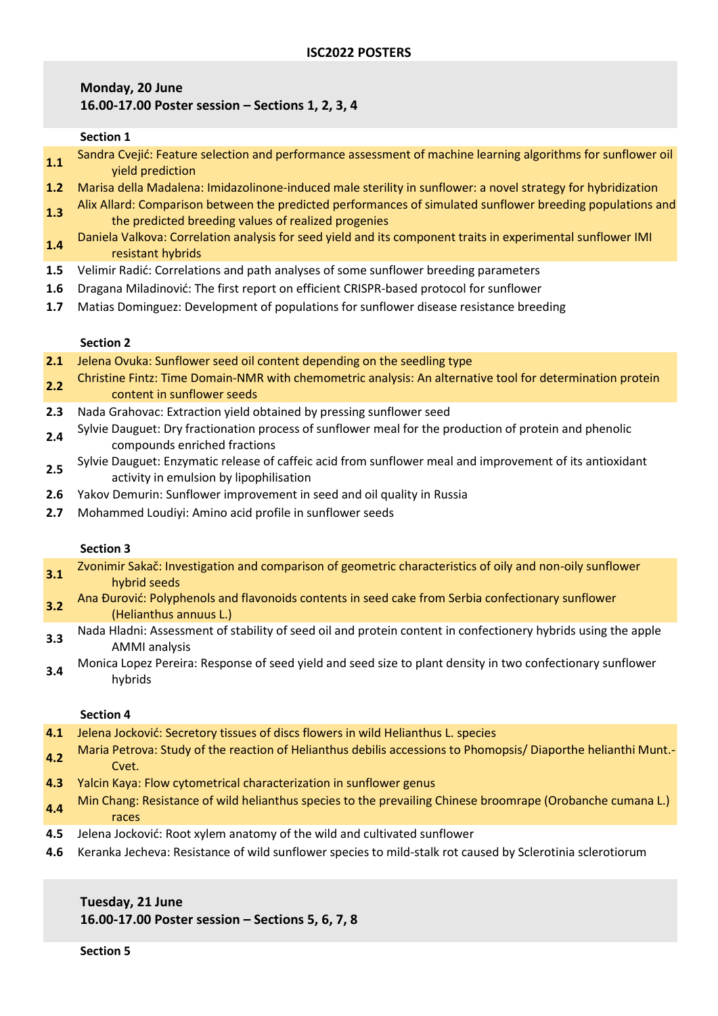# **Monday, 20 June 16.00-17.00 Poster session – Sections 1, 2, 3, 4**

### **Section 1**

- **1.1** Sandra Cvejić: Feature selection and performance assessment of machine learning algorithms for sunflower oil yield prediction
- **1.2** Marisa della Madalena: Imidazolinone-induced male sterility in sunflower: a novel strategy for hybridization
- **1.3** Alix Allard: Comparison between the predicted performances of simulated sunflower breeding populations and the predicted breeding values of realized progenies
- **1.4** Daniela Valkova: Correlation analysis for seed yield and its component traits in experimental sunflower IMI resistant hybrids
- **1.5** Velimir Radić: Correlations and path analyses of some sunflower breeding parameters
- **1.6** Dragana Miladinović: The first report on efficient CRISPR-based protocol for sunflower
- **1.7** Matias Dominguez: Development of populations for sunflower disease resistance breeding

### **Section 2**

- **2.1** Jelena Ovuka: Sunflower seed oil content depending on the seedling type
- **2.2** Christine Fintz: Time Domain-NMR with chemometric analysis: An alternative tool for determination protein content in sunflower seeds
- **2.3** Nada Grahovac: Extraction yield obtained by pressing sunflower seed
- **2.4** Sylvie Dauguet: Dry fractionation process of sunflower meal for the production of protein and phenolic compounds enriched fractions
- **2.5** Sylvie Dauguet: Enzymatic release of caffeic acid from sunflower meal and improvement of its antioxidant activity in emulsion by lipophilisation
- **2.6** Yakov Demurin: Sunflower improvement in seed and oil quality in Russia
- **2.7** Mohammed Loudiyi: Amino acid profile in sunflower seeds

## **Section 3**

| Zvonimir Sakač: Investigation and comparison of geometric characteristics of oily and non-oily sunflower<br>hybrid seeds              |
|---------------------------------------------------------------------------------------------------------------------------------------|
| Ana Đurović: Polyphenols and flavonoids contents in seed cake from Serbia confectionary sunflower<br>(Helianthus annuus L.)           |
| Nada Hladni: Assessment of stability of seed oil and protein content in confectionery hybrids using the apple<br><b>AMMI</b> analysis |
| Monica Lopez Pereira: Response of seed vield and seed size to plant density in two confectionary sunflower                            |

**3.4** Monica Lopez Pereira: Response of seed yield and seed size to plant density in two confectionary sunflower hybrids

## **Section 4**

- **4.1** Jelena Jocković: Secretory tissues of discs flowers in wild Helianthus L. species
- **4.2** Maria Petrova: Study of the reaction of Helianthus debilis accessions to Phomopsis/ Diaporthe helianthi Munt.- Cvet.
- **4.3** Yalcin Kaya: Flow cytometrical characterization in sunflower genus
- **4.4** Min Chang: Resistance of wild helianthus species to the prevailing Chinese broomrape (Orobanche cumana L.) races
- **4.5** Jelena Jocković: Root xylem anatomy of the wild and cultivated sunflower
- **4.6** Keranka Jecheva: Resistance of wild sunflower species to mild-stalk rot caused by Sclerotinia sclerotiorum

# **Tuesday, 21 June 16.00-17.00 Poster session – Sections 5, 6, 7, 8**

**Section 5**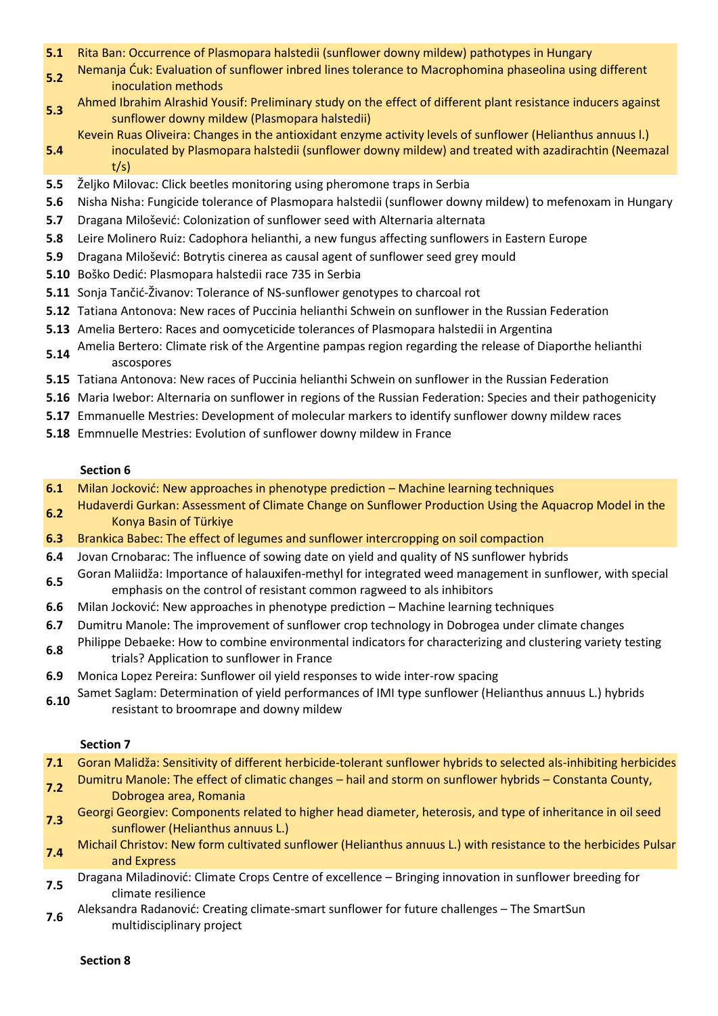- **5.1** Rita Ban: Occurrence of Plasmopara halstedii (sunflower downy mildew) pathotypes in Hungary
- **5.2** Nemanja Ćuk: Evaluation of sunflower inbred lines tolerance to Macrophomina phaseolina using different inoculation methods
- **5.3** Ahmed Ibrahim Alrashid Yousif: Preliminary study on the effect of different plant resistance inducers against sunflower downy mildew (Plasmopara halstedii)
- Kevein Ruas Oliveira: Changes in the antioxidant enzyme activity levels of sunflower (Helianthus annuus l.)
- **5.4** inoculated by Plasmopara halstedii (sunflower downy mildew) and treated with azadirachtin (Neemazal t/s)
- **5.5** Željko Milovac: Click beetles monitoring using pheromone traps in Serbia
- **5.6** Nisha Nisha: Fungicide tolerance of Plasmopara halstedii (sunflower downy mildew) to mefenoxam in Hungary
- **5.7** Dragana Milošević: Colonization of sunflower seed with Alternaria alternata
- **5.8** Leire Molinero Ruiz: Cadophora helianthi, a new fungus affecting sunflowers in Eastern Europe
- **5.9** Dragana Milošević: Botrytis cinerea as causal agent of sunflower seed grey mould
- **5.10** Boško Dedić: Plasmopara halstedii race 735 in Serbia
- **5.11** Sonja Tančić-Živanov: Tolerance of NS-sunflower genotypes to charcoal rot
- **5.12** Tatiana Antonova: New races of Puccinia helianthi Schwein on sunflower in the Russian Federation
- **5.13** Amelia Bertero: Races and oomyceticide tolerances of Plasmopara halstedii in Argentina
- **5.14** Amelia Bertero: Climate risk of the Argentine pampas region regarding the release of Diaporthe helianthi ascospores
- **5.15** Tatiana Antonova: New races of Puccinia helianthi Schwein on sunflower in the Russian Federation
- **5.16** Maria Iwebor: Alternaria on sunflower in regions of the Russian Federation: Species and their pathogenicity
- **5.17** Emmanuelle Mestries: Development of molecular markers to identify sunflower downy mildew races
- **5.18** Emmnuelle Mestries: Evolution of sunflower downy mildew in France

### **Section 6**

- **6.1** Milan Jocković: New approaches in phenotype prediction Machine learning techniques
- **6.2** Hudaverdi Gurkan: Assessment of Climate Change on Sunflower Production Using the Aquacrop Model in the Konya Basin of Türkiye
- **6.3** Brankica Babec: The effect of legumes and sunflower intercropping on soil compaction
- **6.4** Jovan Crnobarac: The influence of sowing date on yield and quality of NS sunflower hybrids
- **6.5** Goran Maliidža: Importance of halauxifen-methyl for integrated weed management in sunflower, with special emphasis on the control of resistant common ragweed to als inhibitors
- **6.6** Milan Jocković: New approaches in phenotype prediction Machine learning techniques
- **6.7** Dumitru Manole: The improvement of sunflower crop technology in Dobrogea under climate changes
- **6.8** Philippe Debaeke: How to combine environmental indicators for characterizing and clustering variety testing trials? Application to sunflower in France
- **6.9** Monica Lopez Pereira: Sunflower oil yield responses to wide inter-row spacing
- **6.10** Samet Saglam: Determination of yield performances of IMI type sunflower (Helianthus annuus L.) hybrids resistant to broomrape and downy mildew

#### **Section 7**

- **7.1** Goran Malidža: Sensitivity of different herbicide-tolerant sunflower hybrids to selected als-inhibiting herbicides
- **7.2** Dumitru Manole: The effect of climatic changes hail and storm on sunflower hybrids Constanta County, Dobrogea area, Romania
- **7.3** Georgi Georgiev: Components related to higher head diameter, heterosis, and type of inheritance in oil seed sunflower (Helianthus annuus L.)
- **7.4** Michail Christov: New form cultivated sunflower (Helianthus annuus L.) with resistance to the herbicides Pulsar and Express
- **7.5** Dragana Miladinović: Climate Crops Centre of excellence Bringing innovation in sunflower breeding for climate resilience
- **7.6** Aleksandra Radanović: Creating climate-smart sunflower for future challenges The SmartSun multidisciplinary project